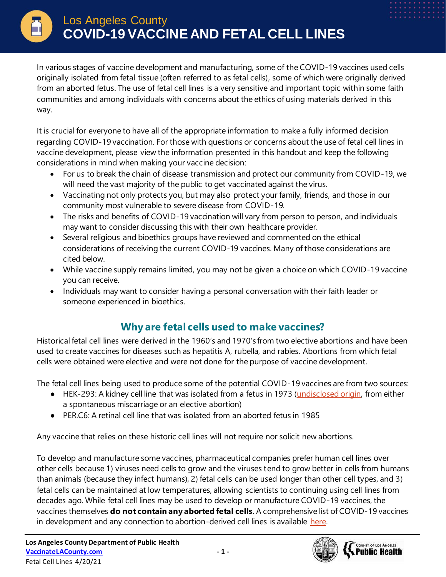In various stages of vaccine development and manufacturing, some of the COVID-19 vaccines used cells originally isolated from fetal tissue (often referred to as fetal cells), some of which were originally derived from an aborted fetus. The use of fetal cell lines is a very sensitive and important topic within some faith communities and among individuals with concerns about the ethics of using materials derived in this way.

It is crucial for everyone to have all of the appropriate information to make a fully informed decision regarding COVID-19 vaccination. For those with questions or concerns about the use of fetal cell lines in vaccine development, please view the information presented in this handout and keep the following considerations in mind when making your vaccine decision:

- For us to break the chain of disease transmission and protect our community from COVID-19, we will need the vast majority of the public to get vaccinated against the virus.
- Vaccinating not only protects you, but may also protect your family, friends, and those in our community most vulnerable to severe disease from COVID-19.
- The risks and benefits of COVID-19 vaccination will vary from person to person, and individuals may want to consider discussing this with their own healthcare provider.
- Several religious and bioethics groups have reviewed and commented on the ethical considerations of receiving the current COVID-19 vaccines. Many of those considerations are cited below.
- While vaccine supply remains limited, you may not be given a choice on which COVID-19 vaccine you can receive.
- Individuals may want to consider having a personal conversation with their faith leader or someone experienced in bioethics.

## **Why are fetal cells used to make vaccines?**

Historical fetal cell lines were derived in the 1960's and 1970's from two elective abortions and have been used to create vaccines for diseases such as hepatitis A, rubella, and rabies. Abortions from which fetal cells were obtained were elective and were not done for the purpose of vaccine development.

The fetal cell lines being used to produce some of the potential COVID-19 vaccines are from two sources:

- HEK-293: A kidney cell line that was isolated from a fetus in 1973 [\(undisclosed origin,](https://www.nature.com/articles/ncomms5767) from either a spontaneous miscarriage or an elective abortion)
- PER.C6: A retinal cell line that was isolated from an aborted fetus in 1985

Any vaccine that relies on these historic cell lines will not require nor solicit new abortions.

To develop and manufacture some vaccines, pharmaceutical companies prefer human cell lines over other cells because 1) viruses need cells to grow and the viruses tend to grow better in cells from humans than animals (because they infect humans), 2) fetal cells can be used longer than other cell types, and 3) fetal cells can be maintained at low temperatures, allowing scientists to continuing using cell lines from decades ago. While fetal cell lines may be used to develop or manufacture COVID-19 vaccines, the vaccines themselves **do not contain any aborted fetal cells**. A comprehensive list of COVID-19 vaccines in development and any connection to abortion-derived cell lines is available [here.](https://lozierinstitute.org/update-covid-19-vaccine-candidates-and-abortion-derived-cell-lines/)

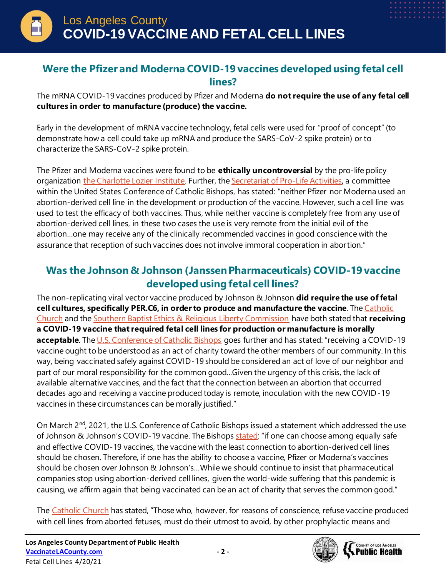## **Were the Pfizer and Moderna COVID-19 vaccines developed using fetal cell lines?**

The mRNA COVID-19 vaccines produced by Pfizer and Moderna **do not require the use of any fetal cell cultures in order to manufacture (produce) the vaccine.**

Early in the development of mRNA vaccine technology, fetal cells were used for "proof of concept" (to demonstrate how a cell could take up mRNA and produce the SARS-CoV-2 spike protein) or to characterize the SARS-CoV-2 spike protein.

The Pfizer and Moderna vaccines were found to be **ethically uncontroversial** by the pro-life policy organization [the Charlotte Lozier Institute.](https://s27589.pcdn.co/wp-content/uploads/2020/06/An-Ethics-Assessment-of-COVID-19-Vaccine-Programs_On-Point-46.pdf) Further, the [Secretariat of Pro-Life Activities,](https://www.usccb.org/resources/Answers%20to%20Key%20Ethical%20Questions%20About%20COVID-19%20Vaccines.pdf) a committee within the United States Conference of Catholic Bishops, has stated: "neither Pfizer nor Moderna used an abortion-derived cell line in the development or production of the vaccine. However, such a cell line was used to test the efficacy of both vaccines. Thus, while neither vaccine is completely free from any use of abortion-derived cell lines, in these two cases the use is very remote from the initial evil of the abortion…one may receive any of the clinically recommended vaccines in good conscience with the assurance that reception of such vaccines does not involve immoral cooperation in abortion."

## **Was the Johnson & Johnson (Janssen Pharmaceuticals) COVID-19 vaccine developed using fetal cell lines?**

The non-replicating viral vector vaccine produced by Johnson & Johnson **did require the use of fetal cell cultures, specifically PER.C6, in order to produce and manufacture the vaccine**. Th[e Catholic](https://www.vatican.va/roman_curia/congregations/cfaith/documents/rc_con_cfaith_doc_20201221_nota-vaccini-anticovid_en.html)  [Church](https://www.vatican.va/roman_curia/congregations/cfaith/documents/rc_con_cfaith_doc_20201221_nota-vaccini-anticovid_en.html) and the [Southern Baptist Ethics & Religious Liberty Commission](https://erlc.com/resource-library/articles/explainer-covid-19-raises-concern-about-abortive-fetal-cells-in-medicine/) have both stated that **receiving a COVID-19 vaccine that required fetal cell lines for production or manufacture is morally**  acceptable. Th[e U.S. Conference of Catholic Bishops](https://www.usccb.org/moral-considerations-covid-vaccines) goes further and has stated: "receiving a COVID-19 vaccine ought to be understood as an act of charity toward the other members of our community. In this way, being vaccinated safely against COVID-19 should be considered an act of love of our neighbor and part of our moral responsibility for the common good...Given the urgency of this crisis, the lack of available alternative vaccines, and the fact that the connection between an abortion that occurred decades ago and receiving a vaccine produced today is remote, inoculation with the new COVID-19 vaccines in these circumstances can be morally justified."

On March 2<sup>nd</sup>, 2021, the U.S. Conference of Catholic Bishops issued a statement which addressed the use of Johnson & Johnson's COVID-19 vaccine. The Bishops [stated:](https://www.usccb.org/news/2021/us-bishop-chairmen-doctrine-and-pro-life-address-use-johnson-johnson-covid-19-vaccine) "if one can choose among equally safe and effective COVID-19 vaccines, the vaccine with the least connection to abortion-derived cell lines should be chosen. Therefore, if one has the ability to choose a vaccine, Pfizer or Moderna's vaccines should be chosen over Johnson & Johnson's…While we should continue to insist that pharmaceutical companies stop using abortion-derived cell lines, given the world-wide suffering that this pandemic is causing, we affirm again that being vaccinated can be an act of charity that serves the common good."

The [Catholic Church](https://www.vatican.va/roman_curia/congregations/cfaith/documents/rc_con_cfaith_doc_20201221_nota-vaccini-anticovid_en.html) has stated, "Those who, however, for reasons of conscience, refuse vaccine produced with cell lines from aborted fetuses, must do their utmost to avoid, by other prophylactic means and